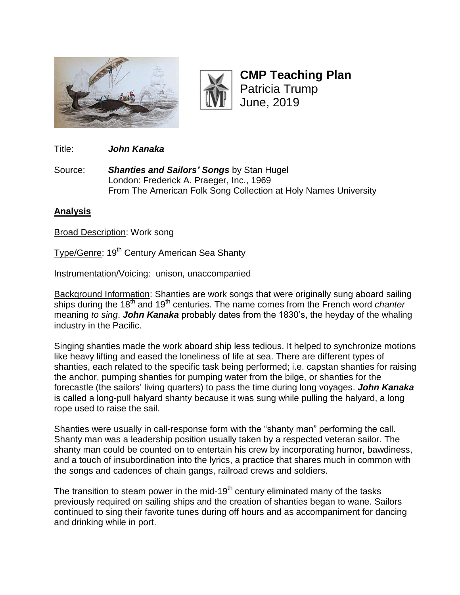



**CMP Teaching Plan** Patricia Trump June, 2019

Title: *John Kanaka*

Source: *Shanties and Sailors' Songs* by Stan Hugel London: Frederick A. Praeger, Inc., 1969 From The American Folk Song Collection at Holy Names University

## **Analysis**

**Broad Description: Work song** 

Type/Genre: 19<sup>th</sup> Century American Sea Shanty

Instrumentation/Voicing:unison, unaccompanied

Background Information: Shanties are work songs that were originally sung aboard sailing ships during the 18<sup>th</sup> and 19<sup>th</sup> centuries. The name comes from the French word *chanter* meaning *to sing*. *John Kanaka* probably dates from the 1830's, the heyday of the whaling industry in the Pacific.

Singing shanties made the work aboard ship less tedious. It helped to synchronize motions like heavy lifting and eased the loneliness of life at sea. There are different types of shanties, each related to the specific task being performed; i.e. capstan shanties for raising the anchor, pumping shanties for pumping water from the bilge, or shanties for the forecastle (the sailors' living quarters) to pass the time during long voyages. *John Kanaka*  is called a long-pull halyard shanty because it was sung while pulling the halyard, a long rope used to raise the sail.

Shanties were usually in call-response form with the "shanty man" performing the call. Shanty man was a leadership position usually taken by a respected veteran sailor. The shanty man could be counted on to entertain his crew by incorporating humor, bawdiness, and a touch of insubordination into the lyrics, a practice that shares much in common with the songs and cadences of chain gangs, railroad crews and soldiers.

The transition to steam power in the mid-19<sup>th</sup> century eliminated many of the tasks previously required on sailing ships and the creation of shanties began to wane. Sailors continued to sing their favorite tunes during off hours and as accompaniment for dancing and drinking while in port.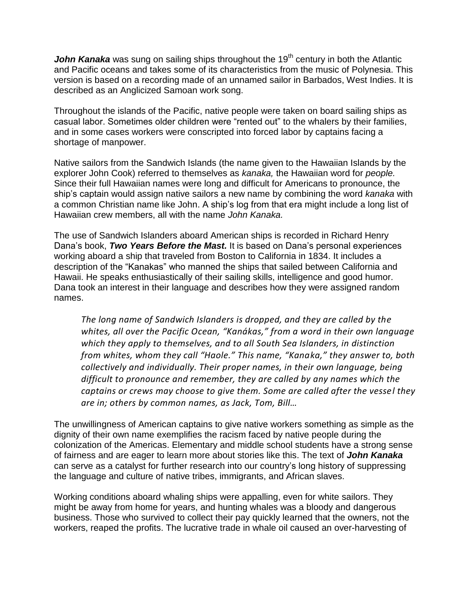**John Kanaka** was sung on sailing ships throughout the 19<sup>th</sup> century in both the Atlantic and Pacific oceans and takes some of its characteristics from the music of Polynesia. This version is based on a recording made of an unnamed sailor in Barbados, West Indies. It is described as an Anglicized Samoan work song.

Throughout the islands of the Pacific, native people were taken on board sailing ships as casual labor. Sometimes older children were "rented out" to the whalers by their families, and in some cases workers were conscripted into forced labor by captains facing a shortage of manpower.

Native sailors from the Sandwich Islands (the name given to the Hawaiian Islands by the explorer John Cook) referred to themselves as *kanaka,* the Hawaiian word for *people.*  Since their full Hawaiian names were long and difficult for Americans to pronounce, the ship's captain would assign native sailors a new name by combining the word *kanaka* with a common Christian name like John. A ship's log from that era might include a long list of Hawaiian crew members, all with the name *John Kanaka.*

The use of Sandwich Islanders aboard American ships is recorded in Richard Henry Dana's book, *Two Years Before the Mast.* It is based on Dana's personal experiences working aboard a ship that traveled from Boston to California in 1834. It includes a description of the "Kanakas" who manned the ships that sailed between California and Hawaii. He speaks enthusiastically of their sailing skills, intelligence and good humor. Dana took an interest in their language and describes how they were assigned random names.

*The long name of Sandwich Islanders is dropped, and they are called by the whites, all over the Pacific Ocean, "Kanákas," from a word in their own language which they apply to themselves, and to all South Sea Islanders, in distinction from whites, whom they call "Haole." This name, "Kanaka," they answer to, both collectively and individually. Their proper names, in their own language, being difficult to pronounce and remember, they are called by any names which the captains or crews may choose to give them. Some are called after the vessel they are in; others by common names, as Jack, Tom, Bill…*

The unwillingness of American captains to give native workers something as simple as the dignity of their own name exemplifies the racism faced by native people during the colonization of the Americas. Elementary and middle school students have a strong sense of fairness and are eager to learn more about stories like this. The text of *John Kanaka* can serve as a catalyst for further research into our country's long history of suppressing the language and culture of native tribes, immigrants, and African slaves.

Working conditions aboard whaling ships were appalling, even for white sailors. They might be away from home for years, and hunting whales was a bloody and dangerous business. Those who survived to collect their pay quickly learned that the owners, not the workers, reaped the profits. The lucrative trade in whale oil caused an over-harvesting of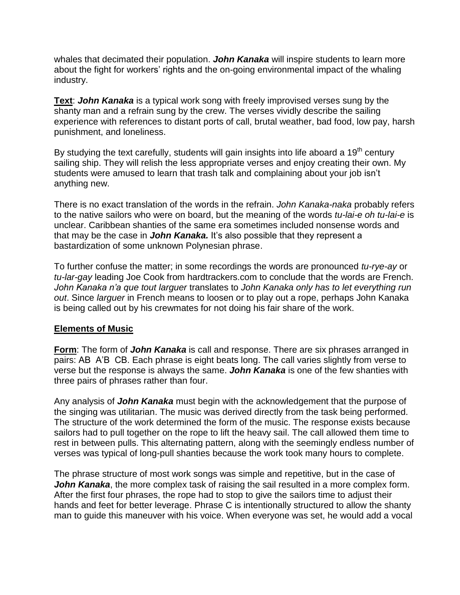whales that decimated their population. *John Kanaka* will inspire students to learn more about the fight for workers' rights and the on-going environmental impact of the whaling industry.

**Text**: *John Kanaka* is a typical work song with freely improvised verses sung by the shanty man and a refrain sung by the crew. The verses vividly describe the sailing experience with references to distant ports of call, brutal weather, bad food, low pay, harsh punishment, and loneliness.

By studying the text carefully, students will gain insights into life aboard a  $19<sup>th</sup>$  century sailing ship. They will relish the less appropriate verses and enjoy creating their own. My students were amused to learn that trash talk and complaining about your job isn't anything new.

There is no exact translation of the words in the refrain. *John Kanaka-naka* probably refers to the native sailors who were on board, but the meaning of the words *tu-lai-e oh tu-lai-e* is unclear. Caribbean shanties of the same era sometimes included nonsense words and that may be the case in *John Kanaka.* It's also possible that they represent a bastardization of some unknown Polynesian phrase.

To further confuse the matter; in some recordings the words are pronounced *tu-rye-ay* or *tu-lar-gay* leading Joe Cook from hardtrackers.com to conclude that the words are French. *John Kanaka n'a que tout larguer* translates to *John Kanaka only has to let everything run out*. Since *larguer* in French means to loosen or to play out a rope, perhaps John Kanaka is being called out by his crewmates for not doing his fair share of the work.

## **Elements of Music**

**Form**: The form of *John Kanaka* is call and response. There are six phrases arranged in pairs: AB A'B CB. Each phrase is eight beats long. The call varies slightly from verse to verse but the response is always the same. *John Kanaka* is one of the few shanties with three pairs of phrases rather than four.

Any analysis of *John Kanaka* must begin with the acknowledgement that the purpose of the singing was utilitarian. The music was derived directly from the task being performed. The structure of the work determined the form of the music. The response exists because sailors had to pull together on the rope to lift the heavy sail. The call allowed them time to rest in between pulls. This alternating pattern, along with the seemingly endless number of verses was typical of long-pull shanties because the work took many hours to complete.

The phrase structure of most work songs was simple and repetitive, but in the case of **John Kanaka**, the more complex task of raising the sail resulted in a more complex form. After the first four phrases, the rope had to stop to give the sailors time to adjust their hands and feet for better leverage. Phrase C is intentionally structured to allow the shanty man to guide this maneuver with his voice. When everyone was set, he would add a vocal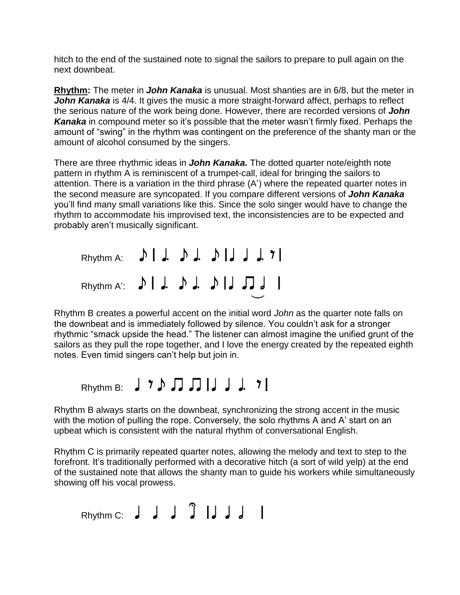hitch to the end of the sustained note to signal the sailors to prepare to pull again on the next downbeat.

**Rhythm:** The meter in *John Kanaka* is unusual. Most shanties are in 6/8, but the meter in **John Kanaka** is 4/4. It gives the music a more straight-forward affect, perhaps to reflect the serious nature of the work being done. However, there are recorded versions of *John Kanaka* in compound meter so it's possible that the meter wasn't firmly fixed. Perhaps the amount of "swing" in the rhythm was contingent on the preference of the shanty man or the amount of alcohol consumed by the singers.

There are three rhythmic ideas in *John Kanaka.* The dotted quarter note/eighth note pattern in rhythm A is reminiscent of a trumpet-call, ideal for bringing the sailors to attention. There is a variation in the third phrase (A') where the repeated quarter notes in the second measure are syncopated. If you compare different versions of *John Kanaka*  you'll find many small variations like this. Since the solo singer would have to change the rhythm to accommodate his improvised text, the inconsistencies are to be expected and probably aren't musically significant.

| Rhythm A: $\bigcup$ $\bigcup$ $\bigcup$ $\bigcup$ $\bigcup$ $\bigcup$ $\bigcup$ $\bigcup$ $\bigcup$ $\bigcup$ $\bigcap$ |  |  |  |
|-------------------------------------------------------------------------------------------------------------------------|--|--|--|
| Rhythm A: $\bigcup$ $\bigcup$ $\bigcup$ $\bigcup$ $\bigcup$ $\bigcup$ $\bigcup$ $\bigcup$ $\bigcup$                     |  |  |  |

Rhythm B creates a powerful accent on the initial word *John* as the quarter note falls on the downbeat and is immediately followed by silence. You couldn't ask for a stronger rhythmic "smack upside the head." The listener can almost imagine the unified grunt of the sailors as they pull the rope together, and I love the energy created by the repeated eighth notes. Even timid singers can't help but join in.

# Rhythm B:  $J Y D J J J J J$

Rhythm B always starts on the downbeat, synchronizing the strong accent in the music with the motion of pulling the rope. Conversely, the solo rhythms A and A' start on an upbeat which is consistent with the natural rhythm of conversational English.

Rhythm C is primarily repeated quarter notes, allowing the melody and text to step to the forefront. It's traditionally performed with a decorative hitch (a sort of wild yelp) at the end of the sustained note that allows the shanty man to guide his workers while simultaneously showing off his vocal prowess.

# Rhythm C:  $J J J J J J$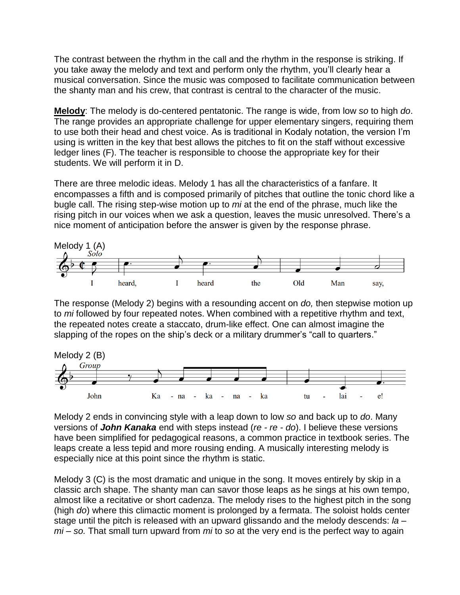The contrast between the rhythm in the call and the rhythm in the response is striking. If you take away the melody and text and perform only the rhythm, you'll clearly hear a musical conversation. Since the music was composed to facilitate communication between the shanty man and his crew, that contrast is central to the character of the music.

**Melody**: The melody is do-centered pentatonic. The range is wide, from low *so* to high *do*. The range provides an appropriate challenge for upper elementary singers, requiring them to use both their head and chest voice. As is traditional in Kodaly notation, the version I'm using is written in the key that best allows the pitches to fit on the staff without excessive ledger lines (F). The teacher is responsible to choose the appropriate key for their students. We will perform it in D.

There are three melodic ideas. Melody 1 has all the characteristics of a fanfare. It encompasses a fifth and is composed primarily of pitches that outline the tonic chord like a bugle call. The rising step-wise motion up to *mi* at the end of the phrase, much like the rising pitch in our voices when we ask a question, leaves the music unresolved. There's a nice moment of anticipation before the answer is given by the response phrase.



The response (Melody 2) begins with a resounding accent on *do,* then stepwise motion up to *mi* followed by four repeated notes. When combined with a repetitive rhythm and text, the repeated notes create a staccato, drum-like effect. One can almost imagine the slapping of the ropes on the ship's deck or a military drummer's "call to quarters."



Melody 2 ends in convincing style with a leap down to low *so* and back up to *do*. Many versions of *John Kanaka* end with steps instead (*re - re - do*). I believe these versions have been simplified for pedagogical reasons, a common practice in textbook series. The leaps create a less tepid and more rousing ending. A musically interesting melody is especially nice at this point since the rhythm is static.

Melody 3 (C) is the most dramatic and unique in the song. It moves entirely by skip in a classic arch shape. The shanty man can savor those leaps as he sings at his own tempo, almost like a recitative or short cadenza. The melody rises to the highest pitch in the song (high *do*) where this climactic moment is prolonged by a fermata. The soloist holds center stage until the pitch is released with an upward glissando and the melody descends: *la – mi – so.* That small turn upward from *mi* to *so* at the very end is the perfect way to again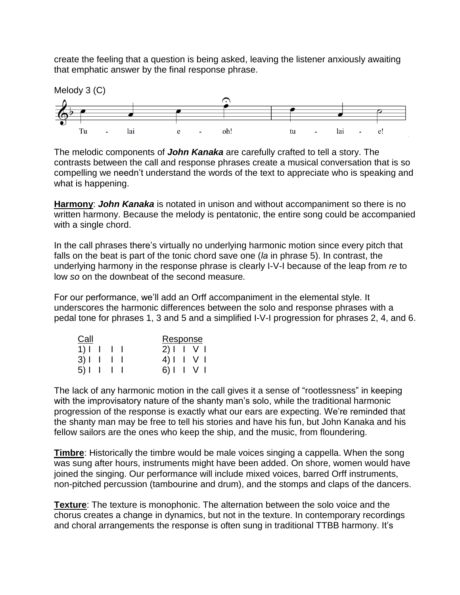create the feeling that a question is being asked, leaving the listener anxiously awaiting that emphatic answer by the final response phrase.



The melodic components of *John Kanaka* are carefully crafted to tell a story. The contrasts between the call and response phrases create a musical conversation that is so compelling we needn't understand the words of the text to appreciate who is speaking and what is happening.

**Harmony**: *John Kanaka* is notated in unison and without accompaniment so there is no written harmony. Because the melody is pentatonic, the entire song could be accompanied with a single chord.

In the call phrases there's virtually no underlying harmonic motion since every pitch that falls on the beat is part of the tonic chord save one (*la* in phrase 5). In contrast, the underlying harmony in the response phrase is clearly I-V-I because of the leap from *re* to low *so* on the downbeat of the second measure*.*

For our performance, we'll add an Orff accompaniment in the elemental style. It underscores the harmonic differences between the solo and response phrases with a pedal tone for phrases 1, 3 and 5 and a simplified I-V-I progression for phrases 2, 4, and 6.

| Call                                  |  | Response      |  |  |
|---------------------------------------|--|---------------|--|--|
| $1$ ) $\vert$ $\vert$ $\vert$ $\vert$ |  | $2$ )     $V$ |  |  |
| $3)$                                  |  | 4) I V I      |  |  |
| $5$                                   |  | 6) I I V I    |  |  |

The lack of any harmonic motion in the call gives it a sense of "rootlessness" in keeping with the improvisatory nature of the shanty man's solo, while the traditional harmonic progression of the response is exactly what our ears are expecting. We're reminded that the shanty man may be free to tell his stories and have his fun, but John Kanaka and his fellow sailors are the ones who keep the ship, and the music, from floundering.

**Timbre**: Historically the timbre would be male voices singing a cappella. When the song was sung after hours, instruments might have been added. On shore, women would have joined the singing. Our performance will include mixed voices, barred Orff instruments, non-pitched percussion (tambourine and drum), and the stomps and claps of the dancers.

**Texture**: The texture is monophonic. The alternation between the solo voice and the chorus creates a change in dynamics, but not in the texture. In contemporary recordings and choral arrangements the response is often sung in traditional TTBB harmony. It's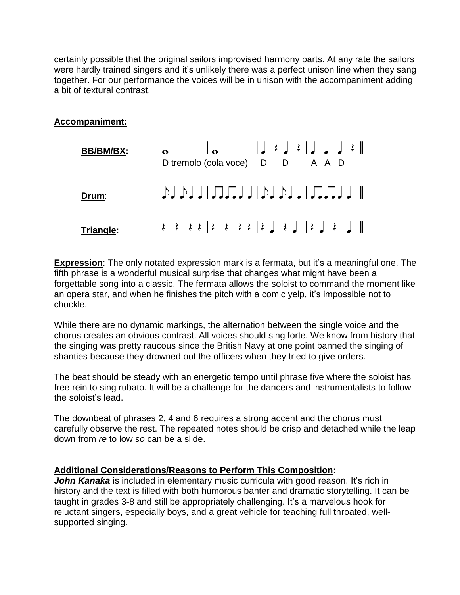certainly possible that the original sailors improvised harmony parts. At any rate the sailors were hardly trained singers and it's unlikely there was a perfect unison line when they sang together. For our performance the voices will be in unison with the accompaniment adding a bit of textural contrast.

## **Accompaniment:**

| <b>BB/BM/BX:</b> |  |  | D tremolo (cola voce) D D                                                                                                                                                                                                                                                        |  |  |  |  | A A D |  |
|------------------|--|--|----------------------------------------------------------------------------------------------------------------------------------------------------------------------------------------------------------------------------------------------------------------------------------|--|--|--|--|-------|--|
| Drum:            |  |  | JU JU JU JU JU JU JU JU JU JU JU                                                                                                                                                                                                                                                 |  |  |  |  |       |  |
| Triangle:        |  |  | $\  \cdot \ $ $\leq$ $\leq$ $\  \cdot \ $ $\leq$ $\  \cdot \ $ $\leq$ $\leq$ $\leq$ $\leq$ $\leq$ $\leq$ $\leq$ $\leq$ $\leq$ $\leq$ $\leq$ $\leq$ $\leq$ $\leq$ $\leq$ $\leq$ $\leq$ $\leq$ $\leq$ $\leq$ $\leq$ $\leq$ $\leq$ $\leq$ $\leq$ $\leq$ $\leq$ $\leq$ $\leq$ $\leq$ |  |  |  |  |       |  |

**Expression**: The only notated expression mark is a fermata, but it's a meaningful one. The fifth phrase is a wonderful musical surprise that changes what might have been a forgettable song into a classic. The fermata allows the soloist to command the moment like an opera star, and when he finishes the pitch with a comic yelp, it's impossible not to chuckle.

While there are no dynamic markings, the alternation between the single voice and the chorus creates an obvious contrast. All voices should sing forte. We know from history that the singing was pretty raucous since the British Navy at one point banned the singing of shanties because they drowned out the officers when they tried to give orders.

The beat should be steady with an energetic tempo until phrase five where the soloist has free rein to sing rubato. It will be a challenge for the dancers and instrumentalists to follow the soloist's lead.

The downbeat of phrases 2, 4 and 6 requires a strong accent and the chorus must carefully observe the rest. The repeated notes should be crisp and detached while the leap down from *re* to low *so* can be a slide.

## **Additional Considerations/Reasons to Perform This Composition:**

**John Kanaka** is included in elementary music curricula with good reason. It's rich in history and the text is filled with both humorous banter and dramatic storytelling. It can be taught in grades 3-8 and still be appropriately challenging. It's a marvelous hook for reluctant singers, especially boys, and a great vehicle for teaching full throated, wellsupported singing.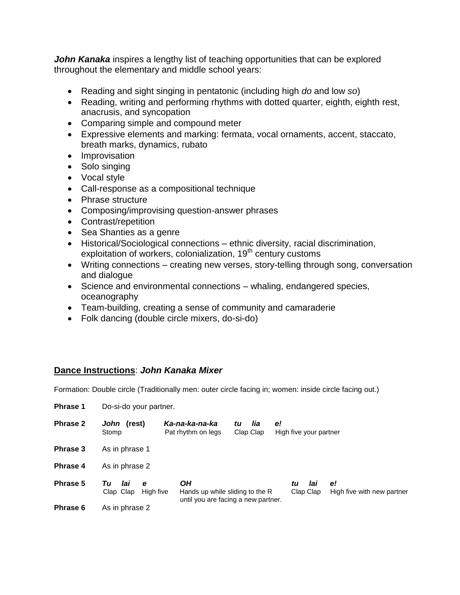**John Kanaka** inspires a lengthy list of teaching opportunities that can be explored throughout the elementary and middle school years:

- Reading and sight singing in pentatonic (including high *do* and low *so*)
- Reading, writing and performing rhythms with dotted quarter, eighth, eighth rest, anacrusis, and syncopation
- Comparing simple and compound meter
- Expressive elements and marking: fermata, vocal ornaments, accent, staccato, breath marks, dynamics, rubato
- Improvisation
- Solo singing
- Vocal style
- Call-response as a compositional technique
- Phrase structure
- Composing/improvising question-answer phrases
- Contrast/repetition
- Sea Shanties as a genre
- Historical/Sociological connections ethnic diversity, racial discrimination, exploitation of workers, colonialization, 19<sup>th</sup> century customs
- Writing connections creating new verses, story-telling through song, conversation and dialogue
- Science and environmental connections whaling, endangered species, oceanography
- Team-building, creating a sense of community and camaraderie
- Folk dancing (double circle mixers, do-si-do)

## **Dance Instructions**: *John Kanaka Mixer*

Formation: Double circle (Traditionally men: outer circle facing in; women: inside circle facing out.)

| <b>Phrase 1</b> |                                          | Do-si-do your partner.                                                       |                        |                              |                                  |  |  |  |  |  |
|-----------------|------------------------------------------|------------------------------------------------------------------------------|------------------------|------------------------------|----------------------------------|--|--|--|--|--|
| <b>Phrase 2</b> | John (rest)<br>Stomp                     | Ka-na-ka-na-ka<br>Pat rhythm on legs                                         | lia<br>tu<br>Clap Clap | e!<br>High five your partner |                                  |  |  |  |  |  |
| Phrase 3        | As in phrase 1                           |                                                                              |                        |                              |                                  |  |  |  |  |  |
| <b>Phrase 4</b> | As in phrase 2                           |                                                                              |                        |                              |                                  |  |  |  |  |  |
| Phrase 5        | Тu<br>lai<br>e<br>Clap Clap<br>High five | OН<br>Hands up while sliding to the R<br>until you are facing a new partner. |                        | lai<br>tu<br>Clap Clap       | e!<br>High five with new partner |  |  |  |  |  |
| Phrase 6        | As in phrase 2                           |                                                                              |                        |                              |                                  |  |  |  |  |  |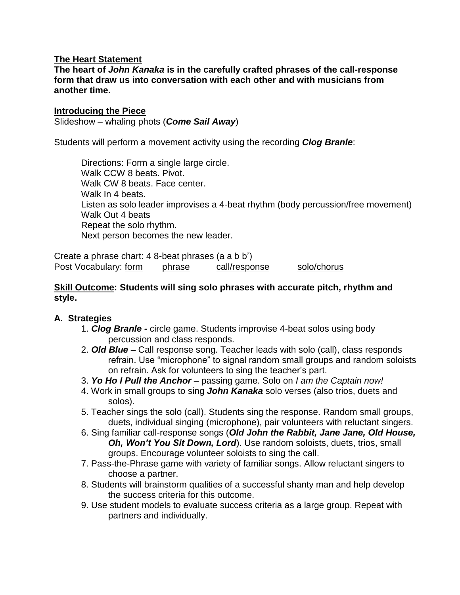#### **The Heart Statement**

**The heart of** *John Kanaka* **is in the carefully crafted phrases of the call-response form that draw us into conversation with each other and with musicians from another time.**

#### **Introducing the Piece**

Slideshow – whaling phots (*Come Sail Away*)

Students will perform a movement activity using the recording *Clog Branle*:

Directions: Form a single large circle. Walk CCW 8 beats. Pivot. Walk CW 8 beats. Face center. Walk In 4 beats. Listen as solo leader improvises a 4-beat rhythm (body percussion/free movement) Walk Out 4 beats Repeat the solo rhythm. Next person becomes the new leader.

Create a phrase chart: 4 8-beat phrases (a a b b') Post Vocabulary: form phrase call/response solo/chorus

## **Skill Outcome: Students will sing solo phrases with accurate pitch, rhythm and style.**

## **A. Strategies**

- 1. *Clog Branle -* circle game. Students improvise 4-beat solos using body percussion and class responds.
- 2. *Old Blue –* Call response song. Teacher leads with solo (call), class responds refrain. Use "microphone" to signal random small groups and random soloists on refrain. Ask for volunteers to sing the teacher's part.
- 3. *Yo Ho I Pull the Anchor –* passing game. Solo on *I am the Captain now!*
- 4. Work in small groups to sing *John Kanaka* solo verses (also trios, duets and solos).
- 5. Teacher sings the solo (call). Students sing the response. Random small groups, duets, individual singing (microphone), pair volunteers with reluctant singers.
- 6. Sing familiar call-response songs (*Old John the Rabbit, Jane Jane, Old House, Oh, Won't You Sit Down, Lord*). Use random soloists, duets, trios, small groups. Encourage volunteer soloists to sing the call.
- 7. Pass-the-Phrase game with variety of familiar songs. Allow reluctant singers to choose a partner.
- 8. Students will brainstorm qualities of a successful shanty man and help develop the success criteria for this outcome.
- 9. Use student models to evaluate success criteria as a large group. Repeat with partners and individually.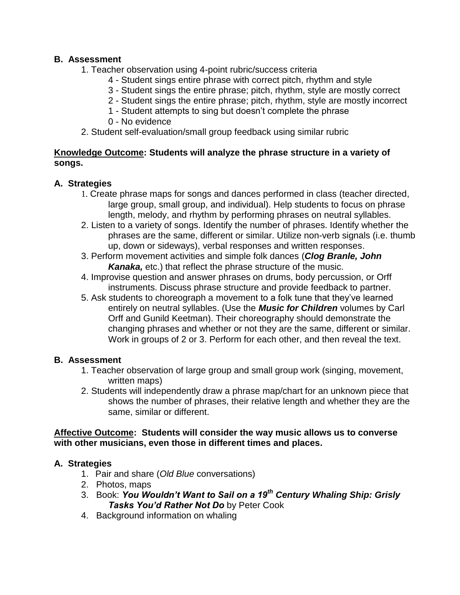## **B. Assessment**

- 1. Teacher observation using 4-point rubric/success criteria
	- 4 Student sings entire phrase with correct pitch, rhythm and style
	- 3 Student sings the entire phrase; pitch, rhythm, style are mostly correct
	- 2 Student sings the entire phrase; pitch, rhythm, style are mostly incorrect
	- 1 Student attempts to sing but doesn't complete the phrase
	- 0 No evidence
- 2. Student self-evaluation/small group feedback using similar rubric

## **Knowledge Outcome: Students will analyze the phrase structure in a variety of songs.**

## **A. Strategies**

- 1. Create phrase maps for songs and dances performed in class (teacher directed, large group, small group, and individual). Help students to focus on phrase length, melody, and rhythm by performing phrases on neutral syllables.
- 2. Listen to a variety of songs. Identify the number of phrases. Identify whether the phrases are the same, different or similar. Utilize non-verb signals (i.e. thumb up, down or sideways), verbal responses and written responses.
- 3. Perform movement activities and simple folk dances (*Clog Branle, John Kanaka,* etc.) that reflect the phrase structure of the music.
- 4. Improvise question and answer phrases on drums, body percussion, or Orff instruments. Discuss phrase structure and provide feedback to partner.
- 5. Ask students to choreograph a movement to a folk tune that they've learned entirely on neutral syllables. (Use the *Music for Children* volumes by Carl Orff and Gunild Keetman). Their choreography should demonstrate the changing phrases and whether or not they are the same, different or similar. Work in groups of 2 or 3. Perform for each other, and then reveal the text.

## **B. Assessment**

- 1. Teacher observation of large group and small group work (singing, movement, written maps)
- 2. Students will independently draw a phrase map/chart for an unknown piece that shows the number of phrases, their relative length and whether they are the same, similar or different.

## **Affective Outcome: Students will consider the way music allows us to converse with other musicians, even those in different times and places.**

## **A. Strategies**

- 1. Pair and share (*Old Blue* conversations)
- 2. Photos, maps
- 3. Book: *You Wouldn't Want to Sail on a 19th Century Whaling Ship: Grisly Tasks You'd Rather Not Do* by Peter Cook
- 4. Background information on whaling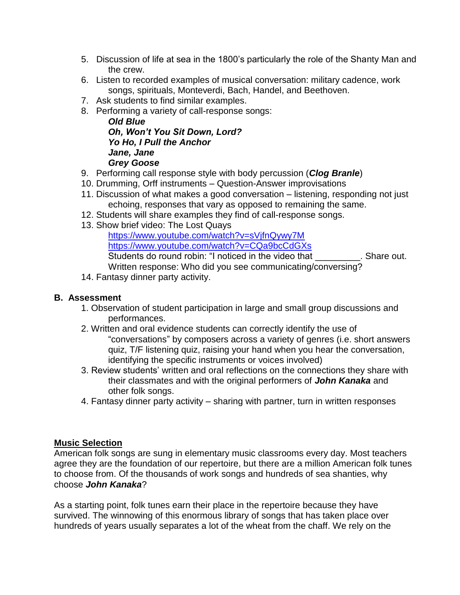- 5. Discussion of life at sea in the 1800's particularly the role of the Shanty Man and the crew.
- 6. Listen to recorded examples of musical conversation: military cadence, work songs, spirituals, Monteverdi, Bach, Handel, and Beethoven.
- 7. Ask students to find similar examples.
- 8. Performing a variety of call-response songs:

#### *Old Blue Oh, Won't You Sit Down, Lord? Yo Ho, I Pull the Anchor Jane, Jane Grey Goose*

- 9. Performing call response style with body percussion (*Clog Branle*)
- 10. Drumming, Orff instruments Question-Answer improvisations
- 11. Discussion of what makes a good conversation listening, responding not just echoing, responses that vary as opposed to remaining the same.
- 12. Students will share examples they find of call-response songs.
- 13. Show brief video: The Lost Quays

<https://www.youtube.com/watch?v=sVjfnQywy7M> <https://www.youtube.com/watch?v=CQa9bcCdGXs> Students do round robin: "I noticed in the video that The Share out. Written response: Who did you see communicating/conversing?

14. Fantasy dinner party activity.

#### **B. Assessment**

- 1. Observation of student participation in large and small group discussions and performances.
- 2. Written and oral evidence students can correctly identify the use of "conversations" by composers across a variety of genres (i.e. short answers quiz, T/F listening quiz, raising your hand when you hear the conversation, identifying the specific instruments or voices involved)
- 3. Review students' written and oral reflections on the connections they share with their classmates and with the original performers of *John Kanaka* and other folk songs.
- 4. Fantasy dinner party activity sharing with partner, turn in written responses

## **Music Selection**

American folk songs are sung in elementary music classrooms every day. Most teachers agree they are the foundation of our repertoire, but there are a million American folk tunes to choose from. Of the thousands of work songs and hundreds of sea shanties, why choose *John Kanaka*?

As a starting point, folk tunes earn their place in the repertoire because they have survived. The winnowing of this enormous library of songs that has taken place over hundreds of years usually separates a lot of the wheat from the chaff. We rely on the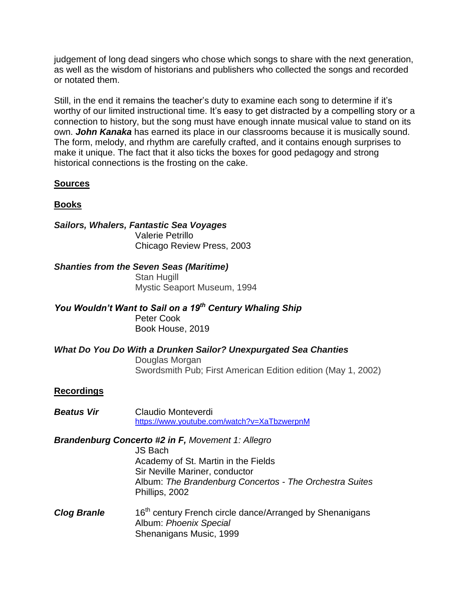judgement of long dead singers who chose which songs to share with the next generation, as well as the wisdom of historians and publishers who collected the songs and recorded or notated them.

Still, in the end it remains the teacher's duty to examine each song to determine if it's worthy of our limited instructional time. It's easy to get distracted by a compelling story or a connection to history, but the song must have enough innate musical value to stand on its own. *John Kanaka* has earned its place in our classrooms because it is musically sound. The form, melody, and rhythm are carefully crafted, and it contains enough surprises to make it unique. The fact that it also ticks the boxes for good pedagogy and strong historical connections is the frosting on the cake.

## **Sources**

## **Books**

## *Sailors, Whalers, Fantastic Sea Voyages* Valerie Petrillo

Chicago Review Press, 2003

## *Shanties from the Seven Seas (Maritime)*

Stan Hugill Mystic Seaport Museum, 1994

*You Wouldn't Want to Sail on a 19th Century Whaling Ship* Peter Cook Book House, 2019

# *What Do You Do With a Drunken Sailor? Unexpurgated Sea Chanties*

Douglas Morgan Swordsmith Pub; First American Edition edition (May 1, 2002)

## **Recordings**

*Beatus Vir* Claudio Monteverdi <https://www.youtube.com/watch?v=XaTbzwerpnM>

## *Brandenburg Concerto #2 in F, Movement 1: Allegro*

JS Bach Academy of St. Martin in the Fields Sir Neville Mariner, conductor Album: *The Brandenburg Concertos - The Orchestra Suites* Phillips, 2002

*Clog Branle* 16<sup>th</sup> century French circle dance/Arranged by Shenanigans Album: *Phoenix Special* Shenanigans Music, 1999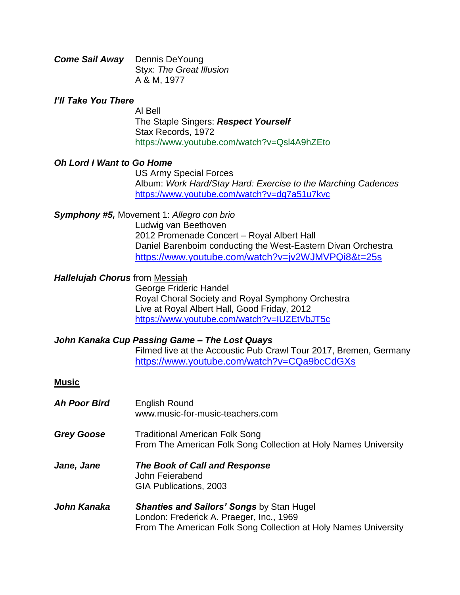| <b>Come Sail Away</b> Dennis DeYoung |                          |
|--------------------------------------|--------------------------|
|                                      | Styx: The Great Illusion |
|                                      | A & M, 1977              |

#### *I'll Take You There*

Al Bell The Staple Singers: *Respect Yourself* Stax Records, 1972 https://www.youtube.com/watch?v=Qsl4A9hZEto

#### *Oh Lord I Want to Go Home*

US Army Special Forces Album: *Work Hard/Stay Hard: Exercise to the Marching Cadences* <https://www.youtube.com/watch?v=dg7a51u7kvc>

#### *Symphony #5,* Movement 1: *Allegro con brio*

Ludwig van Beethoven 2012 Promenade Concert – Royal Albert Hall Daniel Barenboim conducting the West-Eastern Divan Orchestra <https://www.youtube.com/watch?v=jv2WJMVPQi8&t=25s>

#### *Hallelujah Chorus* from Messiah

George Frideric Handel Royal Choral Society and Royal Symphony Orchestra Live at Royal Albert Hall, Good Friday, 2012 <https://www.youtube.com/watch?v=IUZEtVbJT5c>

## *John Kanaka Cup Passing Game – The Lost Quays*

Filmed live at the Accoustic Pub Crawl Tour 2017, Bremen, Germany <https://www.youtube.com/watch?v=CQa9bcCdGXs>

#### **Music**

| <b>Ah Poor Bird</b> | <b>English Round</b><br>www.music-for-music-teachers.com                                                                                                        |
|---------------------|-----------------------------------------------------------------------------------------------------------------------------------------------------------------|
| <b>Grey Goose</b>   | <b>Traditional American Folk Song</b><br>From The American Folk Song Collection at Holy Names University                                                        |
| Jane, Jane          | The Book of Call and Response<br>John Feierabend<br>GIA Publications, 2003                                                                                      |
| John Kanaka         | <b>Shanties and Sailors' Songs by Stan Hugel</b><br>London: Frederick A. Praeger, Inc., 1969<br>From The American Folk Song Collection at Holy Names University |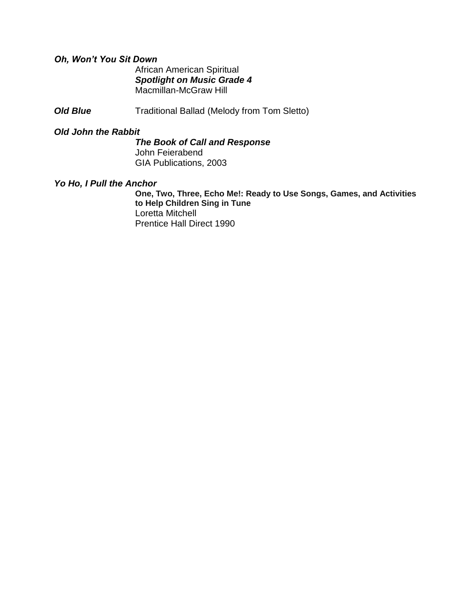## *Oh, Won't You Sit Down*

African American Spiritual *Spotlight on Music Grade 4* Macmillan-McGraw Hill

**Old Blue** Traditional Ballad (Melody from Tom Sletto)

#### *Old John the Rabbit*

*The Book of Call and Response* John Feierabend GIA Publications, 2003

## *Yo Ho, I Pull the Anchor*

**One, Two, Three, Echo Me!: Ready to Use Songs, Games, and Activities to Help Children Sing in Tune** Loretta Mitchell Prentice Hall Direct 1990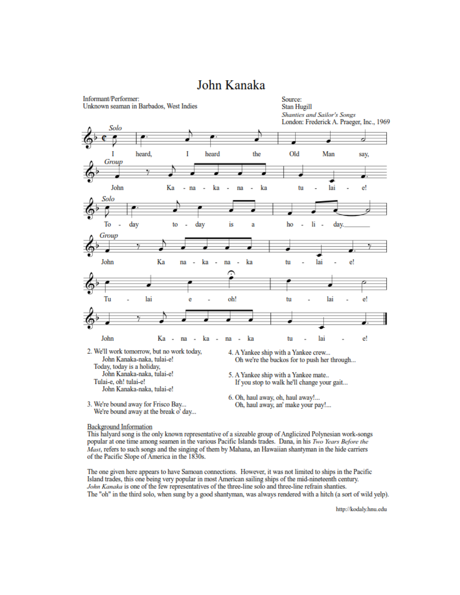

# John Kanaka

This halyard song is the only known representative of a sizeable group of Anglicized Polynesian work-songs popular at one time among seamen in the various Pacific Islands trades. Dana, in his Two Years Before the Mast, refers to such songs and the singing of them by Mahana, an Hawaiian shantyman in the hide carriers of the Pacific Slope of America in the 1830s.

The one given here appears to have Samoan connections. However, it was not limited to ships in the Pacific Island trades, this one being very popular in most American sailing ships of the mid-nineteenth century. John Kanaka is one of the few representatives of the three-line solo and three-line refrain shanties. The "oh" in the third solo, when sung by a good shantyman, was always rendered with a hitch (a sort of wild yelp).

http://kodaly.hnu.edu

**Background Information**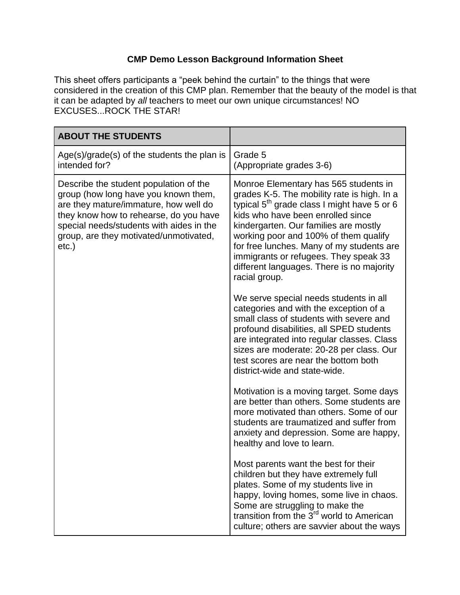## **CMP Demo Lesson Background Information Sheet**

This sheet offers participants a "peek behind the curtain" to the things that were considered in the creation of this CMP plan. Remember that the beauty of the model is that it can be adapted by *all* teachers to meet our own unique circumstances! NO EXCUSES...ROCK THE STAR!

| <b>ABOUT THE STUDENTS</b>                                                                                                                                                                                                                                        |                                                                                                                                                                                                                                                                                                                                                                                                                  |
|------------------------------------------------------------------------------------------------------------------------------------------------------------------------------------------------------------------------------------------------------------------|------------------------------------------------------------------------------------------------------------------------------------------------------------------------------------------------------------------------------------------------------------------------------------------------------------------------------------------------------------------------------------------------------------------|
| Age(s)/grade(s) of the students the plan is<br>intended for?                                                                                                                                                                                                     | Grade 5<br>(Appropriate grades 3-6)                                                                                                                                                                                                                                                                                                                                                                              |
| Describe the student population of the<br>group (how long have you known them,<br>are they mature/immature, how well do<br>they know how to rehearse, do you have<br>special needs/students with aides in the<br>group, are they motivated/unmotivated,<br>etc.) | Monroe Elementary has 565 students in<br>grades K-5. The mobility rate is high. In a<br>typical $5th$ grade class I might have 5 or 6<br>kids who have been enrolled since<br>kindergarten. Our families are mostly<br>working poor and 100% of them qualify<br>for free lunches. Many of my students are<br>immigrants or refugees. They speak 33<br>different languages. There is no majority<br>racial group. |
|                                                                                                                                                                                                                                                                  | We serve special needs students in all<br>categories and with the exception of a<br>small class of students with severe and<br>profound disabilities, all SPED students<br>are integrated into regular classes. Class<br>sizes are moderate: 20-28 per class. Our<br>test scores are near the bottom both<br>district-wide and state-wide.                                                                       |
|                                                                                                                                                                                                                                                                  | Motivation is a moving target. Some days<br>are better than others. Some students are<br>more motivated than others. Some of our<br>students are traumatized and suffer from<br>anxiety and depression. Some are happy,<br>healthy and love to learn.                                                                                                                                                            |
|                                                                                                                                                                                                                                                                  | Most parents want the best for their<br>children but they have extremely full<br>plates. Some of my students live in<br>happy, loving homes, some live in chaos.<br>Some are struggling to make the<br>transition from the 3 <sup>rd</sup> world to American<br>culture; others are savvier about the ways                                                                                                       |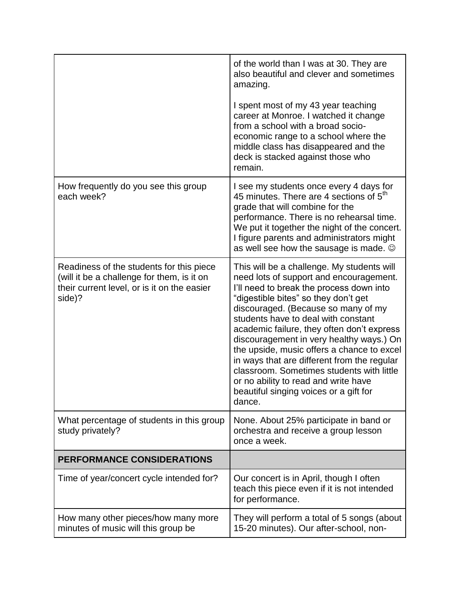|                                                                                                                                                 | of the world than I was at 30. They are<br>also beautiful and clever and sometimes<br>amazing.<br>I spent most of my 43 year teaching<br>career at Monroe. I watched it change<br>from a school with a broad socio-<br>economic range to a school where the<br>middle class has disappeared and the<br>deck is stacked against those who<br>remain.                                                                                                                                                                                                                                     |
|-------------------------------------------------------------------------------------------------------------------------------------------------|-----------------------------------------------------------------------------------------------------------------------------------------------------------------------------------------------------------------------------------------------------------------------------------------------------------------------------------------------------------------------------------------------------------------------------------------------------------------------------------------------------------------------------------------------------------------------------------------|
| How frequently do you see this group<br>each week?                                                                                              | I see my students once every 4 days for<br>45 minutes. There are 4 sections of 5 <sup>th</sup><br>grade that will combine for the<br>performance. There is no rehearsal time.<br>We put it together the night of the concert.<br>I figure parents and administrators might<br>as well see how the sausage is made. $\odot$                                                                                                                                                                                                                                                              |
| Readiness of the students for this piece<br>(will it be a challenge for them, is it on<br>their current level, or is it on the easier<br>side)? | This will be a challenge. My students will<br>need lots of support and encouragement.<br>I'll need to break the process down into<br>"digestible bites" so they don't get<br>discouraged. (Because so many of my<br>students have to deal with constant<br>academic failure, they often don't express<br>discouragement in very healthy ways.) On<br>the upside, music offers a chance to excel<br>in ways that are different from the regular<br>classroom. Sometimes students with little<br>or no ability to read and write have<br>beautiful singing voices or a gift for<br>dance. |
| What percentage of students in this group<br>study privately?                                                                                   | None. About 25% participate in band or<br>orchestra and receive a group lesson<br>once a week.                                                                                                                                                                                                                                                                                                                                                                                                                                                                                          |
| <b>PERFORMANCE CONSIDERATIONS</b>                                                                                                               |                                                                                                                                                                                                                                                                                                                                                                                                                                                                                                                                                                                         |
| Time of year/concert cycle intended for?                                                                                                        | Our concert is in April, though I often<br>teach this piece even if it is not intended<br>for performance.                                                                                                                                                                                                                                                                                                                                                                                                                                                                              |
| How many other pieces/how many more<br>minutes of music will this group be                                                                      | They will perform a total of 5 songs (about<br>15-20 minutes). Our after-school, non-                                                                                                                                                                                                                                                                                                                                                                                                                                                                                                   |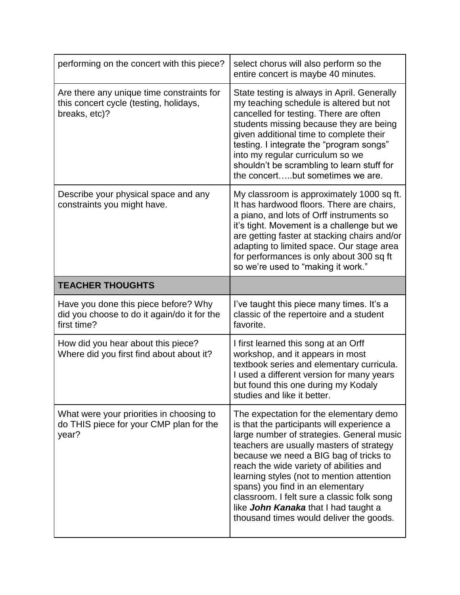| performing on the concert with this piece?                                                           | select chorus will also perform so the<br>entire concert is maybe 40 minutes.                                                                                                                                                                                                                                                                                                            |
|------------------------------------------------------------------------------------------------------|------------------------------------------------------------------------------------------------------------------------------------------------------------------------------------------------------------------------------------------------------------------------------------------------------------------------------------------------------------------------------------------|
| Are there any unique time constraints for<br>this concert cycle (testing, holidays,<br>breaks, etc)? | State testing is always in April. Generally<br>my teaching schedule is altered but not<br>cancelled for testing. There are often<br>students missing because they are being<br>given additional time to complete their<br>testing. I integrate the "program songs"<br>into my regular curriculum so we<br>shouldn't be scrambling to learn stuff for<br>the concertbut sometimes we are. |
| Describe your physical space and any<br>constraints you might have.                                  | My classroom is approximately 1000 sq ft.<br>It has hardwood floors. There are chairs,<br>a piano, and lots of Orff instruments so<br>it's tight. Movement is a challenge but we<br>are getting faster at stacking chairs and/or<br>adapting to limited space. Our stage area<br>for performances is only about 300 sq ft<br>so we're used to "making it work."                          |
| <b>TEACHER THOUGHTS</b>                                                                              |                                                                                                                                                                                                                                                                                                                                                                                          |
|                                                                                                      |                                                                                                                                                                                                                                                                                                                                                                                          |
| Have you done this piece before? Why<br>did you choose to do it again/do it for the<br>first time?   | I've taught this piece many times. It's a<br>classic of the repertoire and a student<br>favorite.                                                                                                                                                                                                                                                                                        |
| How did you hear about this piece?<br>Where did you first find about about it?                       | I first learned this song at an Orff<br>workshop, and it appears in most<br>textbook series and elementary curricula.<br>I used a different version for many years<br>but found this one during my Kodaly<br>studies and like it better.                                                                                                                                                 |